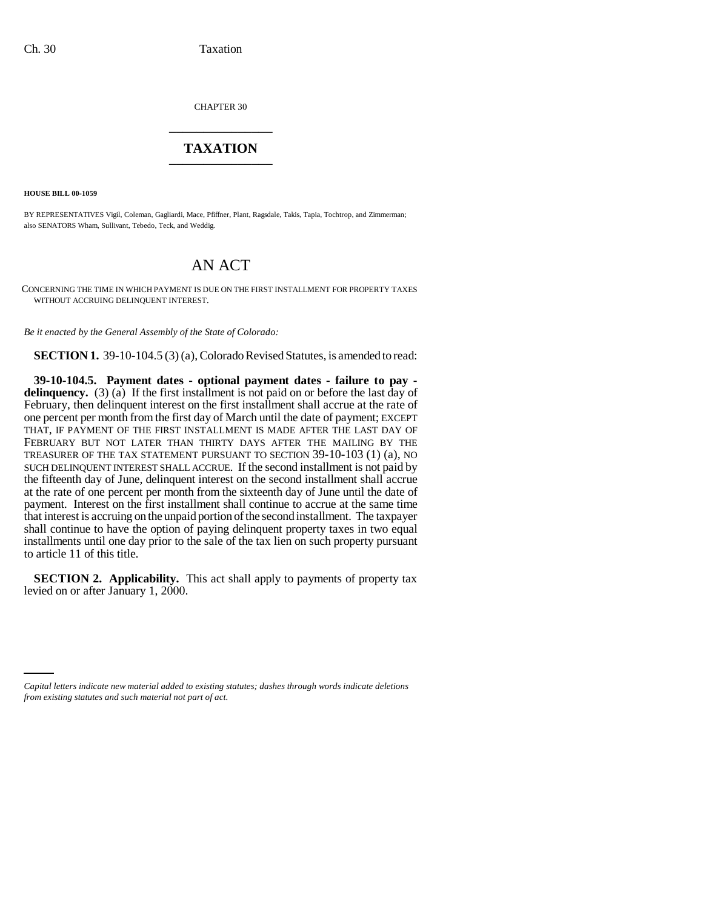CHAPTER 30 \_\_\_\_\_\_\_\_\_\_\_\_\_\_\_

## **TAXATION** \_\_\_\_\_\_\_\_\_\_\_\_\_\_\_

**HOUSE BILL 00-1059** 

BY REPRESENTATIVES Vigil, Coleman, Gagliardi, Mace, Pfiffner, Plant, Ragsdale, Takis, Tapia, Tochtrop, and Zimmerman; also SENATORS Wham, Sullivant, Tebedo, Teck, and Weddig.

## AN ACT

CONCERNING THE TIME IN WHICH PAYMENT IS DUE ON THE FIRST INSTALLMENT FOR PROPERTY TAXES WITHOUT ACCRUING DELINQUENT INTEREST.

*Be it enacted by the General Assembly of the State of Colorado:*

**SECTION 1.** 39-10-104.5 (3) (a), Colorado Revised Statutes, is amended to read:

**39-10-104.5. Payment dates - optional payment dates - failure to pay delinquency.** (3) (a) If the first installment is not paid on or before the last day of February, then delinquent interest on the first installment shall accrue at the rate of one percent per month from the first day of March until the date of payment; EXCEPT THAT, IF PAYMENT OF THE FIRST INSTALLMENT IS MADE AFTER THE LAST DAY OF FEBRUARY BUT NOT LATER THAN THIRTY DAYS AFTER THE MAILING BY THE TREASURER OF THE TAX STATEMENT PURSUANT TO SECTION 39-10-103 (1) (a), NO SUCH DELINQUENT INTEREST SHALL ACCRUE. If the second installment is not paid by the fifteenth day of June, delinquent interest on the second installment shall accrue at the rate of one percent per month from the sixteenth day of June until the date of payment. Interest on the first installment shall continue to accrue at the same time that interest is accruing on the unpaid portion of the second installment. The taxpayer shall continue to have the option of paying delinquent property taxes in two equal installments until one day prior to the sale of the tax lien on such property pursuant to article 11 of this title.

**SECTION 2. Applicability.** This act shall apply to payments of property tax levied on or after January 1, 2000.

*Capital letters indicate new material added to existing statutes; dashes through words indicate deletions from existing statutes and such material not part of act.*